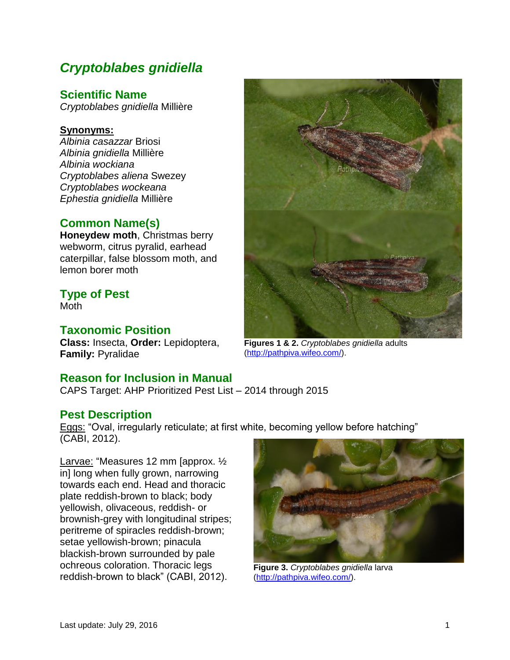# *Cryptoblabes gnidiella*

## **Scientific Name**

*Cryptoblabes gnidiella* Millière

#### **Synonyms:**

*Albinia casazzar* Briosi *Albinia gnidiella* Millière *Albinia wockiana Cryptoblabes aliena* Swezey *Cryptoblabes wockeana Ephestia gnidiella* Millière

# **Common Name(s)**

**Honeydew moth**, Christmas berry webworm, citrus pyralid, earhead caterpillar, false blossom moth, and lemon borer moth

# **Type of Pest**

Moth

### **Taxonomic Position**

**Class:** Insecta, **Order:** Lepidoptera, **Family:** Pyralidae

### **Reason for Inclusion in Manual**

CAPS Target: AHP Prioritized Pest List – 2014 through 2015

### **Pest Description**

Eggs: "Oval, irregularly reticulate; at first white, becoming yellow before hatching" (CABI, 2012).

Larvae: "Measures 12 mm [approx. ½ in] long when fully grown, narrowing towards each end. Head and thoracic plate reddish-brown to black; body yellowish, olivaceous, reddish- or brownish-grey with longitudinal stripes; peritreme of spiracles reddish-brown; setae yellowish-brown; pinacula blackish-brown surrounded by pale ochreous coloration. Thoracic legs reddish-brown to black" (CABI, 2012).



**Figure 3.** *Cryptoblabes gnidiella* larva [\(http://pathpiva.wifeo.com/\)](http://pathpiva.wifeo.com/).



**Figures 1 & 2.** *Cryptoblabes gnidiella* adults [\(http://pathpiva.wifeo.com/\)](http://pathpiva.wifeo.com/).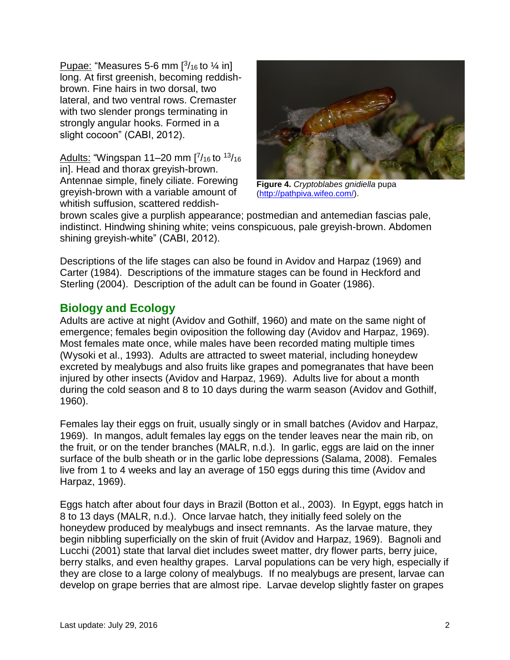Pupae: "Measures 5-6 mm  $[3/16]$  to  $\frac{1}{4}$  in] long. At first greenish, becoming reddishbrown. Fine hairs in two dorsal, two lateral, and two ventral rows. Cremaster with two slender prongs terminating in strongly angular hooks. Formed in a slight cocoon" (CABI, 2012).

Adults: "Wingspan 11–20 mm [7/16 to 13/16 in]. Head and thorax greyish-brown. Antennae simple, finely ciliate. Forewing greyish-brown with a variable amount of whitish suffusion, scattered reddish-



**Figure 4.** *Cryptoblabes gnidiella* pupa [\(http://pathpiva.wifeo.com/\)](http://pathpiva.wifeo.com/).

brown scales give a purplish appearance; postmedian and antemedian fascias pale, indistinct. Hindwing shining white; veins conspicuous, pale greyish-brown. Abdomen shining greyish-white" (CABI, 2012).

Descriptions of the life stages can also be found in Avidov and Harpaz (1969) and Carter (1984). Descriptions of the immature stages can be found in Heckford and Sterling (2004). Description of the adult can be found in Goater (1986).

## **Biology and Ecology**

Adults are active at night (Avidov and Gothilf, 1960) and mate on the same night of emergence; females begin oviposition the following day (Avidov and Harpaz, 1969). Most females mate once, while males have been recorded mating multiple times (Wysoki et al., 1993). Adults are attracted to sweet material, including honeydew excreted by mealybugs and also fruits like grapes and pomegranates that have been injured by other insects (Avidov and Harpaz, 1969). Adults live for about a month during the cold season and 8 to 10 days during the warm season (Avidov and Gothilf, 1960).

Females lay their eggs on fruit, usually singly or in small batches (Avidov and Harpaz, 1969). In mangos, adult females lay eggs on the tender leaves near the main rib, on the fruit, or on the tender branches (MALR, n.d.). In garlic, eggs are laid on the inner surface of the bulb sheath or in the garlic lobe depressions (Salama, 2008). Females live from 1 to 4 weeks and lay an average of 150 eggs during this time (Avidov and Harpaz, 1969).

Eggs hatch after about four days in Brazil (Botton et al., 2003). In Egypt, eggs hatch in 8 to 13 days (MALR, n.d.). Once larvae hatch, they initially feed solely on the honeydew produced by mealybugs and insect remnants. As the larvae mature, they begin nibbling superficially on the skin of fruit (Avidov and Harpaz, 1969). Bagnoli and Lucchi (2001) state that larval diet includes sweet matter, dry flower parts, berry juice, berry stalks, and even healthy grapes. Larval populations can be very high, especially if they are close to a large colony of mealybugs. If no mealybugs are present, larvae can develop on grape berries that are almost ripe. Larvae develop slightly faster on grapes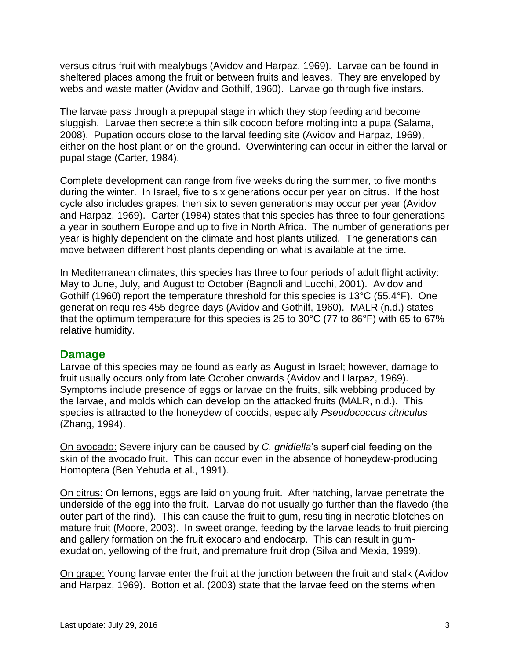versus citrus fruit with mealybugs (Avidov and Harpaz, 1969). Larvae can be found in sheltered places among the fruit or between fruits and leaves. They are enveloped by webs and waste matter (Avidov and Gothilf, 1960). Larvae go through five instars.

The larvae pass through a prepupal stage in which they stop feeding and become sluggish. Larvae then secrete a thin silk cocoon before molting into a pupa (Salama, 2008). Pupation occurs close to the larval feeding site (Avidov and Harpaz, 1969), either on the host plant or on the ground. Overwintering can occur in either the larval or pupal stage (Carter, 1984).

Complete development can range from five weeks during the summer, to five months during the winter. In Israel, five to six generations occur per year on citrus. If the host cycle also includes grapes, then six to seven generations may occur per year (Avidov and Harpaz, 1969). Carter (1984) states that this species has three to four generations a year in southern Europe and up to five in North Africa. The number of generations per year is highly dependent on the climate and host plants utilized. The generations can move between different host plants depending on what is available at the time.

In Mediterranean climates, this species has three to four periods of adult flight activity: May to June, July, and August to October (Bagnoli and Lucchi, 2001). Avidov and Gothilf (1960) report the temperature threshold for this species is 13°C (55.4°F). One generation requires 455 degree days (Avidov and Gothilf, 1960). MALR (n.d.) states that the optimum temperature for this species is 25 to 30°C (77 to 86°F) with 65 to 67% relative humidity.

### **Damage**

Larvae of this species may be found as early as August in Israel; however, damage to fruit usually occurs only from late October onwards (Avidov and Harpaz, 1969). Symptoms include presence of eggs or larvae on the fruits, silk webbing produced by the larvae, and molds which can develop on the attacked fruits (MALR, n.d.). This species is attracted to the honeydew of coccids, especially *Pseudococcus citriculus* (Zhang, 1994).

On avocado: Severe injury can be caused by *C. gnidiella*'s superficial feeding on the skin of the avocado fruit. This can occur even in the absence of honeydew-producing Homoptera (Ben Yehuda et al., 1991).

On citrus: On lemons, eggs are laid on young fruit. After hatching, larvae penetrate the underside of the egg into the fruit. Larvae do not usually go further than the flavedo (the outer part of the rind). This can cause the fruit to gum, resulting in necrotic blotches on mature fruit (Moore, 2003). In sweet orange, feeding by the larvae leads to fruit piercing and gallery formation on the fruit exocarp and endocarp. This can result in gumexudation, yellowing of the fruit, and premature fruit drop (Silva and Mexia, 1999).

On grape: Young larvae enter the fruit at the junction between the fruit and stalk (Avidov and Harpaz, 1969). Botton et al. (2003) state that the larvae feed on the stems when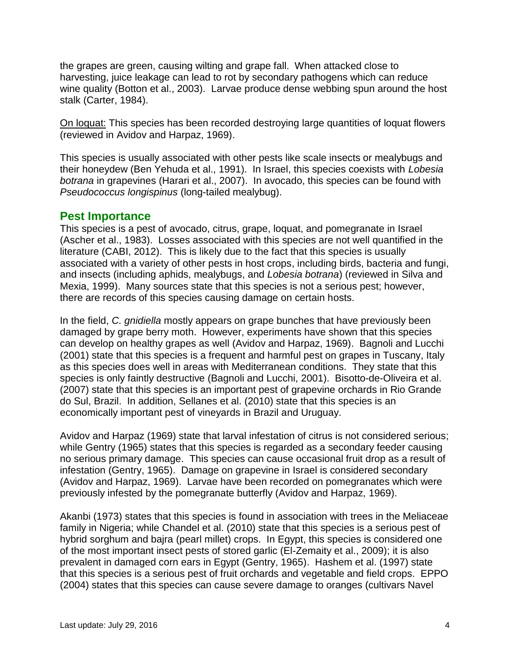the grapes are green, causing wilting and grape fall. When attacked close to harvesting, juice leakage can lead to rot by secondary pathogens which can reduce wine quality (Botton et al., 2003). Larvae produce dense webbing spun around the host stalk (Carter, 1984).

On loquat: This species has been recorded destroying large quantities of loquat flowers (reviewed in Avidov and Harpaz, 1969).

This species is usually associated with other pests like scale insects or mealybugs and their honeydew (Ben Yehuda et al., 1991). In Israel, this species coexists with *Lobesia botrana* in grapevines (Harari et al., 2007). In avocado, this species can be found with *Pseudococcus longispinus* (long-tailed mealybug).

#### **Pest Importance**

This species is a pest of avocado, citrus, grape, loquat, and pomegranate in Israel (Ascher et al., 1983). Losses associated with this species are not well quantified in the literature (CABI, 2012). This is likely due to the fact that this species is usually associated with a variety of other pests in host crops, including birds, bacteria and fungi, and insects (including aphids, mealybugs, and *Lobesia botrana*) (reviewed in Silva and Mexia, 1999). Many sources state that this species is not a serious pest; however, there are records of this species causing damage on certain hosts.

In the field, *C. gnidiella* mostly appears on grape bunches that have previously been damaged by grape berry moth. However, experiments have shown that this species can develop on healthy grapes as well (Avidov and Harpaz, 1969). Bagnoli and Lucchi (2001) state that this species is a frequent and harmful pest on grapes in Tuscany, Italy as this species does well in areas with Mediterranean conditions. They state that this species is only faintly destructive (Bagnoli and Lucchi, 2001). Bisotto-de-Oliveira et al. (2007) state that this species is an important pest of grapevine orchards in Rio Grande do Sul, Brazil. In addition, Sellanes et al. (2010) state that this species is an economically important pest of vineyards in Brazil and Uruguay.

Avidov and Harpaz (1969) state that larval infestation of citrus is not considered serious; while Gentry (1965) states that this species is regarded as a secondary feeder causing no serious primary damage. This species can cause occasional fruit drop as a result of infestation (Gentry, 1965). Damage on grapevine in Israel is considered secondary (Avidov and Harpaz, 1969). Larvae have been recorded on pomegranates which were previously infested by the pomegranate butterfly (Avidov and Harpaz, 1969).

Akanbi (1973) states that this species is found in association with trees in the Meliaceae family in Nigeria; while Chandel et al. (2010) state that this species is a serious pest of hybrid sorghum and bajra (pearl millet) crops. In Egypt, this species is considered one of the most important insect pests of stored garlic (El-Zemaity et al., 2009); it is also prevalent in damaged corn ears in Egypt (Gentry, 1965). Hashem et al. (1997) state that this species is a serious pest of fruit orchards and vegetable and field crops. EPPO (2004) states that this species can cause severe damage to oranges (cultivars Navel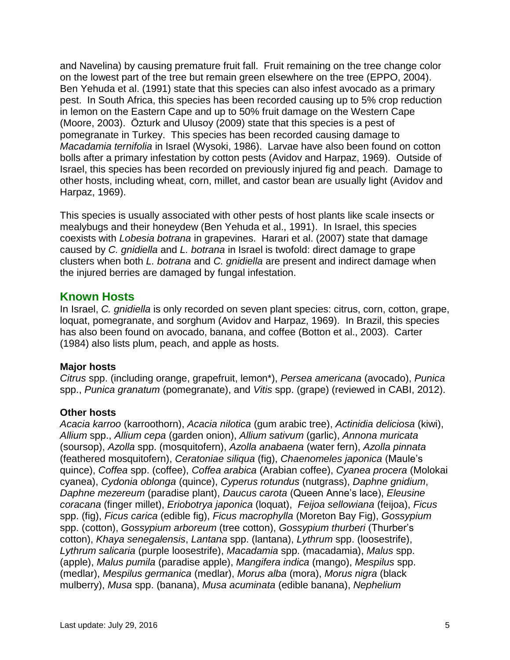and Navelina) by causing premature fruit fall. Fruit remaining on the tree change color on the lowest part of the tree but remain green elsewhere on the tree (EPPO, 2004). Ben Yehuda et al. (1991) state that this species can also infest avocado as a primary pest. In South Africa, this species has been recorded causing up to 5% crop reduction in lemon on the Eastern Cape and up to 50% fruit damage on the Western Cape (Moore, 2003). Özturk and Ulusoy (2009) state that this species is a pest of pomegranate in Turkey. This species has been recorded causing damage to *Macadamia ternifolia* in Israel (Wysoki, 1986). Larvae have also been found on cotton bolls after a primary infestation by cotton pests (Avidov and Harpaz, 1969). Outside of Israel, this species has been recorded on previously injured fig and peach. Damage to other hosts, including wheat, corn, millet, and castor bean are usually light (Avidov and Harpaz, 1969).

This species is usually associated with other pests of host plants like scale insects or mealybugs and their honeydew (Ben Yehuda et al., 1991). In Israel, this species coexists with *Lobesia botrana* in grapevines. Harari et al. (2007) state that damage caused by *C. gnidiella* and *L. botrana* in Israel is twofold: direct damage to grape clusters when both *L. botrana* and *C. gnidiella* are present and indirect damage when the injured berries are damaged by fungal infestation.

#### **Known Hosts**

In Israel, *C. gnidiella* is only recorded on seven plant species: citrus, corn, cotton, grape, loquat, pomegranate, and sorghum (Avidov and Harpaz, 1969). In Brazil, this species has also been found on avocado, banana, and coffee (Botton et al., 2003). Carter (1984) also lists plum, peach, and apple as hosts.

#### **Major hosts**

*Citrus* spp. (including orange, grapefruit, lemon\*), *Persea americana* (avocado), *Punica* spp., *Punica granatum* (pomegranate), and *Vitis* spp. (grape) (reviewed in CABI, 2012).

#### **Other hosts**

*Acacia karroo* (karroothorn), *Acacia nilotica* (gum arabic tree), *Actinidia deliciosa* (kiwi), *Allium* spp., *Allium cepa* (garden onion), *Allium sativum* (garlic), *Annona muricata* (soursop), *Azolla* spp. (mosquitofern), *Azolla anabaena* (water fern), *Azolla pinnata* (feathered mosquitofern), *Ceratoniae siliqua* (fig), *Chaenomeles japonica* (Maule's quince), *Coffea* spp. (coffee), *Coffea arabica* (Arabian coffee), *Cyanea procera* (Molokai cyanea), *Cydonia oblonga* (quince), *Cyperus rotundus* (nutgrass), *Daphne gnidium*, *Daphne mezereum* (paradise plant), *Daucus carota* (Queen Anne's lace), *Eleusine coracana* (finger millet), *Eriobotrya japonica* (loquat), *Feijoa sellowiana* (feijoa), *Ficus* spp. (fig), *Ficus carica* (edible fig), *Ficus macrophylla* (Moreton Bay Fig), *Gossypium* spp. (cotton), *Gossypium arboreum* (tree cotton), *Gossypium thurberi* (Thurber's cotton), *Khaya senegalensis*, *Lantana* spp. (lantana), *Lythrum* spp. (loosestrife), *Lythrum salicaria* (purple loosestrife), *Macadamia* spp. (macadamia), *Malus* spp. (apple), *Malus pumila* (paradise apple), *Mangifera indica* (mango), *Mespilus* spp. (medlar), *Mespilus germanica* (medlar), *Morus alba* (mora), *Morus nigra* (black mulberry), *Musa* spp. (banana), *Musa acuminata* (edible banana), *Nephelium*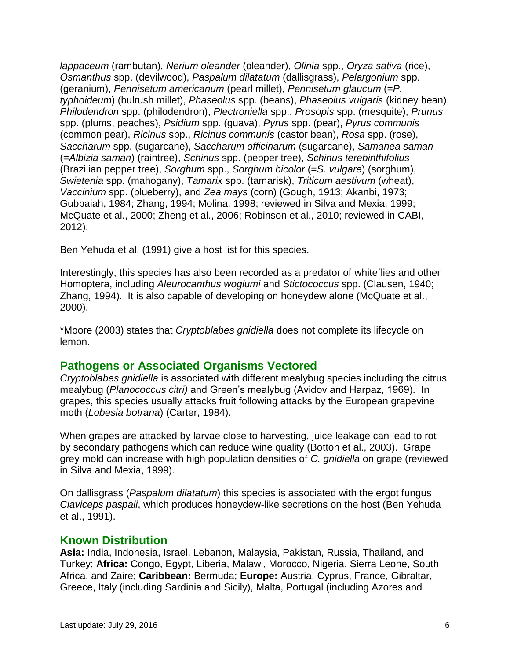*lappaceum* (rambutan), *Nerium oleander* (oleander), *Olinia* spp., *Oryza sativa* (rice), *Osmanthus* spp. (devilwood), *Paspalum dilatatum* (dallisgrass), *Pelargonium* spp. (geranium), *Pennisetum americanum* (pearl millet), *Pennisetum glaucum* (=*P. typhoideum*) (bulrush millet), *Phaseolus* spp. (beans), *Phaseolus vulgaris* (kidney bean), *Philodendron* spp. (philodendron), *Plectroniella* spp., *Prosopis* spp. (mesquite), *Prunus* spp. (plums, peaches), *Psidium* spp. (guava), *Pyrus* spp. (pear), *Pyrus communis* (common pear), *Ricinus* spp., *Ricinus communis* (castor bean), *Rosa* spp. (rose), *Saccharum* spp. (sugarcane), *Saccharum officinarum* (sugarcane), *Samanea saman* (=*Albizia saman*) (raintree), *Schinus* spp. (pepper tree), *Schinus terebinthifolius* (Brazilian pepper tree), *Sorghum* spp., *Sorghum bicolor* (=*S. vulgare*) (sorghum), *Swietenia* spp. (mahogany), *Tamarix* spp. (tamarisk), *Triticum aestivum* (wheat), *Vaccinium* spp. (blueberry), and *Zea mays* (corn) (Gough, 1913; Akanbi, 1973; Gubbaiah, 1984; Zhang, 1994; Molina, 1998; reviewed in Silva and Mexia, 1999; McQuate et al., 2000; Zheng et al., 2006; Robinson et al., 2010; reviewed in CABI, 2012).

Ben Yehuda et al. (1991) give a host list for this species.

Interestingly, this species has also been recorded as a predator of whiteflies and other Homoptera, including *Aleurocanthus woglumi* and *Stictococcus* spp. (Clausen, 1940; Zhang, 1994). It is also capable of developing on honeydew alone (McQuate et al., 2000).

\*Moore (2003) states that *Cryptoblabes gnidiella* does not complete its lifecycle on lemon.

#### **Pathogens or Associated Organisms Vectored**

*Cryptoblabes gnidiella* is associated with different mealybug species including the citrus mealybug (*Planococcus citri)* and Green's mealybug (Avidov and Harpaz, 1969). In grapes, this species usually attacks fruit following attacks by the European grapevine moth (*Lobesia botrana*) (Carter, 1984).

When grapes are attacked by larvae close to harvesting, juice leakage can lead to rot by secondary pathogens which can reduce wine quality (Botton et al., 2003). Grape grey mold can increase with high population densities of *C. gnidiella* on grape (reviewed in Silva and Mexia, 1999).

On dallisgrass (*Paspalum dilatatum*) this species is associated with the ergot fungus *Claviceps paspali*, which produces honeydew-like secretions on the host (Ben Yehuda et al., 1991).

#### **Known Distribution**

**Asia:** India, Indonesia, Israel, Lebanon, Malaysia, Pakistan, Russia, Thailand, and Turkey; **Africa:** Congo, Egypt, Liberia, Malawi, Morocco, Nigeria, Sierra Leone, South Africa, and Zaire; **Caribbean:** Bermuda; **Europe:** Austria, Cyprus, France, Gibraltar, Greece, Italy (including Sardinia and Sicily), Malta, Portugal (including Azores and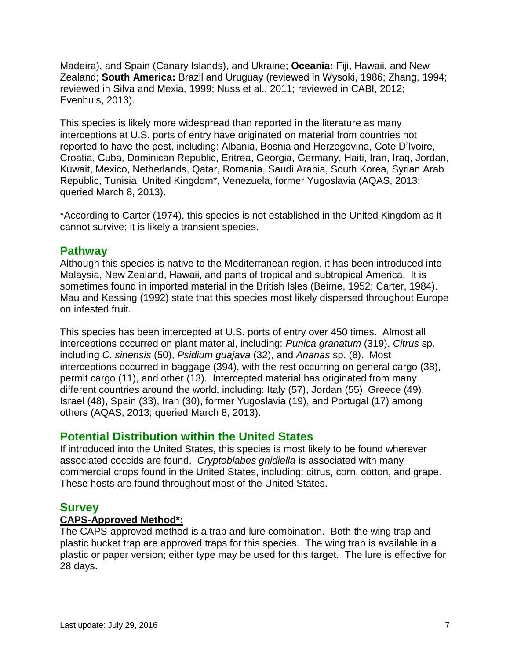Madeira), and Spain (Canary Islands), and Ukraine; **Oceania:** Fiji, Hawaii, and New Zealand; **South America:** Brazil and Uruguay (reviewed in Wysoki, 1986; Zhang, 1994; reviewed in Silva and Mexia, 1999; Nuss et al., 2011; reviewed in CABI, 2012; Evenhuis, 2013).

This species is likely more widespread than reported in the literature as many interceptions at U.S. ports of entry have originated on material from countries not reported to have the pest, including: Albania, Bosnia and Herzegovina, Cote D'Ivoire, Croatia, Cuba, Dominican Republic, Eritrea, Georgia, Germany, Haiti, Iran, Iraq, Jordan, Kuwait, Mexico, Netherlands, Qatar, Romania, Saudi Arabia, South Korea, Syrian Arab Republic, Tunisia, United Kingdom\*, Venezuela, former Yugoslavia (AQAS, 2013; queried March 8, 2013).

\*According to Carter (1974), this species is not established in the United Kingdom as it cannot survive; it is likely a transient species.

#### **Pathway**

Although this species is native to the Mediterranean region, it has been introduced into Malaysia, New Zealand, Hawaii, and parts of tropical and subtropical America. It is sometimes found in imported material in the British Isles (Beirne, 1952; Carter, 1984). Mau and Kessing (1992) state that this species most likely dispersed throughout Europe on infested fruit.

This species has been intercepted at U.S. ports of entry over 450 times. Almost all interceptions occurred on plant material, including: *Punica granatum* (319), *Citrus* sp. including *C. sinensis* (50), *Psidium guajava* (32), and *Ananas* sp. (8). Most interceptions occurred in baggage (394), with the rest occurring on general cargo (38), permit cargo (11), and other (13). Intercepted material has originated from many different countries around the world, including: Italy (57), Jordan (55), Greece (49), Israel (48), Spain (33), Iran (30), former Yugoslavia (19), and Portugal (17) among others (AQAS, 2013; queried March 8, 2013).

### **Potential Distribution within the United States**

If introduced into the United States, this species is most likely to be found wherever associated coccids are found. *Cryptoblabes gnidiella* is associated with many commercial crops found in the United States, including: citrus, corn, cotton, and grape. These hosts are found throughout most of the United States.

# **Survey**

#### **CAPS-Approved Method\*:**

The CAPS-approved method is a trap and lure combination. Both the wing trap and plastic bucket trap are approved traps for this species. The wing trap is available in a plastic or paper version; either type may be used for this target. The lure is effective for 28 days.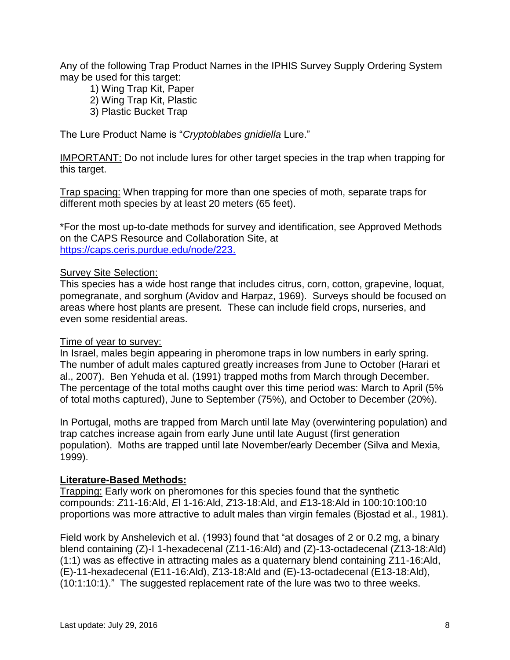Any of the following Trap Product Names in the IPHIS Survey Supply Ordering System may be used for this target:

- 1) Wing Trap Kit, Paper
- 2) Wing Trap Kit, Plastic
- 3) Plastic Bucket Trap

The Lure Product Name is "*Cryptoblabes gnidiella* Lure."

IMPORTANT: Do not include lures for other target species in the trap when trapping for this target.

Trap spacing: When trapping for more than one species of moth, separate traps for different moth species by at least 20 meters (65 feet).

\*For the most up-to-date methods for survey and identification, see Approved Methods on the CAPS Resource and Collaboration Site, at https://caps.ceris.purdue.edu/node/223.

#### **Survey Site Selection:**

This species has a wide host range that includes citrus, corn, cotton, grapevine, loquat, pomegranate, and sorghum (Avidov and Harpaz, 1969). Surveys should be focused on areas where host plants are present. These can include field crops, nurseries, and even some residential areas.

#### Time of year to survey:

In Israel, males begin appearing in pheromone traps in low numbers in early spring. The number of adult males captured greatly increases from June to October (Harari et al., 2007). Ben Yehuda et al. (1991) trapped moths from March through December. The percentage of the total moths caught over this time period was: March to April (5% of total moths captured), June to September (75%), and October to December (20%).

In Portugal, moths are trapped from March until late May (overwintering population) and trap catches increase again from early June until late August (first generation population). Moths are trapped until late November/early December (Silva and Mexia, 1999).

#### **Literature-Based Methods:**

Trapping: Early work on pheromones for this species found that the synthetic compounds: *Z*11-16:Ald, *E*l 1-16:Ald, *Z*13-18:Ald, and *E*13-18:Ald in 100:10:100:10 proportions was more attractive to adult males than virgin females (Bjostad et al., 1981).

Field work by Anshelevich et al. (1993) found that "at dosages of 2 or 0.2 mg, a binary blend containing (Z)-I 1-hexadecenal (Z11-16:Ald) and (Z)-13-octadecenal (Z13-18:Ald) (1:1) was as effective in attracting males as a quaternary blend containing Z11-16:Ald, (E)-11-hexadecenal (E11-16:Ald), Z13-18:Ald and (E)-13-octadecenal (E13-18:Ald), (10:1:10:1)." The suggested replacement rate of the lure was two to three weeks.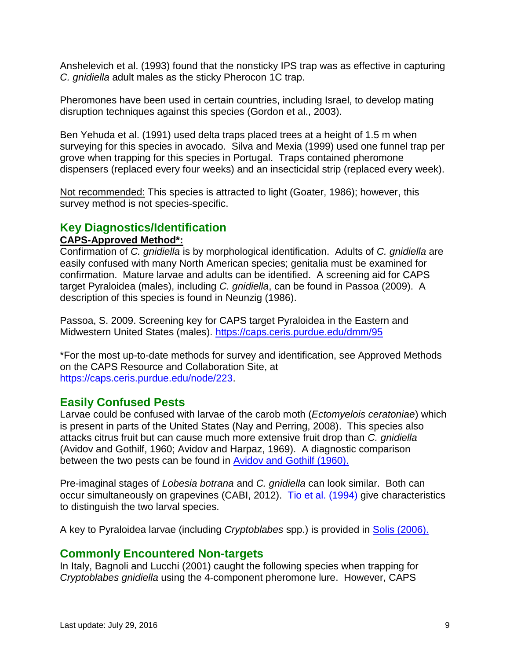Anshelevich et al. (1993) found that the nonsticky IPS trap was as effective in capturing *C. gnidiella* adult males as the sticky Pherocon 1C trap.

Pheromones have been used in certain countries, including Israel, to develop mating disruption techniques against this species (Gordon et al., 2003).

Ben Yehuda et al. (1991) used delta traps placed trees at a height of 1.5 m when surveying for this species in avocado. Silva and Mexia (1999) used one funnel trap per grove when trapping for this species in Portugal. Traps contained pheromone dispensers (replaced every four weeks) and an insecticidal strip (replaced every week).

Not recommended: This species is attracted to light (Goater, 1986); however, this survey method is not species-specific.

### **Key Diagnostics/Identification**

#### **CAPS-Approved Method\*:**

Confirmation of *C. gnidiella* is by morphological identification. Adults of *C. gnidiella* are easily confused with many North American species; genitalia must be examined for confirmation. Mature larvae and adults can be identified. A screening aid for CAPS target Pyraloidea (males), including *C. gnidiella*, can be found in Passoa (2009). A description of this species is found in Neunzig (1986).

Passoa, S. 2009. Screening key for CAPS target Pyraloidea in the Eastern and Midwestern United States (males). <https://caps.ceris.purdue.edu/dmm/95>

\*For the most up-to-date methods for survey and identification, see Approved Methods on the CAPS Resource and Collaboration Site, at [https://caps.ceris.purdue.edu/node/223.](https://caps.ceris.purdue.edu/node/223)

### **Easily Confused Pests**

Larvae could be confused with larvae of the carob moth (*Ectomyelois ceratoniae*) which is present in parts of the United States (Nay and Perring, 2008). This species also attacks citrus fruit but can cause much more extensive fruit drop than *C. gnidiella* (Avidov and Gothilf, 1960; Avidov and Harpaz, 1969). A diagnostic comparison between the two pests can be found in [Avidov and Gothilf \(1960\).](http://caps.ceris.purdue.edu/dmm/2088)

Pre-imaginal stages of *Lobesia botrana* and *C. gnidiella* can look similar. Both can occur simultaneously on grapevines (CABI, 2012). [Tio et al. \(1994\)](http://caps.ceris.purdue.edu/dmm/2089) give characteristics to distinguish the two larval species.

A key to Pyraloidea larvae (including *Cryptoblabes* spp.) is provided in [Solis \(2006\).](http://caps.ceris.purdue.edu/dmm/2087)

### **Commonly Encountered Non-targets**

In Italy, Bagnoli and Lucchi (2001) caught the following species when trapping for *Cryptoblabes gnidiella* using the 4-component pheromone lure. However, CAPS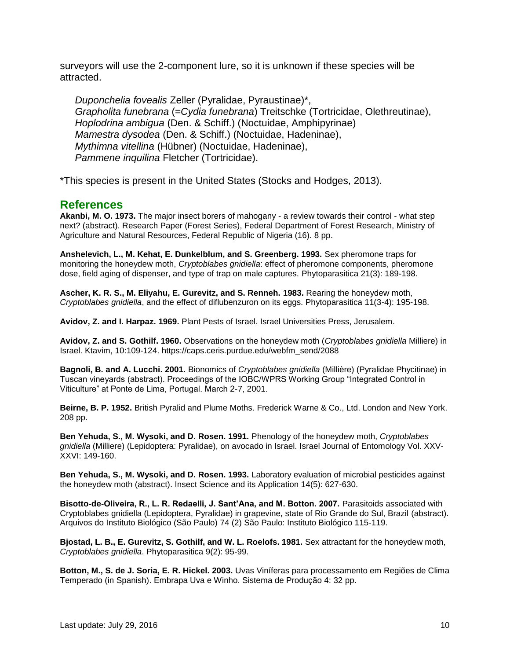surveyors will use the 2-component lure, so it is unknown if these species will be attracted.

*Duponchelia fovealis* Zeller (Pyralidae, Pyraustinae)\*, *Grapholita funebrana* (=*Cydia funebrana*) Treitschke (Tortricidae, Olethreutinae), *Hoplodrina ambigua* (Den. & Schiff.) (Noctuidae, Amphipyrinae) *Mamestra dysodea* (Den. & Schiff.) (Noctuidae, Hadeninae), *Mythimna vitellina* (Hübner) (Noctuidae, Hadeninae), *Pammene inquilina* Fletcher (Tortricidae).

\*This species is present in the United States (Stocks and Hodges, 2013).

#### **References**

**Akanbi, M. O. 1973.** The major insect borers of mahogany - a review towards their control - what step next? (abstract). Research Paper (Forest Series), Federal Department of Forest Research, Ministry of Agriculture and Natural Resources, Federal Republic of Nigeria (16). 8 pp.

**Anshelevich, L., M. Kehat, E. Dunkelblum, and S. Greenberg. 1993.** Sex pheromone traps for monitoring the honeydew moth, *Cryptoblabes gnidiella*: effect of pheromone components, pheromone dose, field aging of dispenser, and type of trap on male captures. Phytoparasitica 21(3): 189-198.

**Ascher, K. R. S., M. Eliyahu, E. Gurevitz, and S. Renneh. 1983.** Rearing the honeydew moth, *Cryptoblabes gnidiella*, and the effect of diflubenzuron on its eggs. Phytoparasitica 11(3-4): 195-198.

**Avidov, Z. and I. Harpaz. 1969.** Plant Pests of Israel. Israel Universities Press, Jerusalem.

**Avidov, Z. and S. Gothilf. 1960.** Observations on the honeydew moth (*Cryptoblabes gnidiella* Milliere) in Israel. Ktavim, 10:109-124. https://caps.ceris.purdue.edu/webfm\_send/2088

**Bagnoli, B. and A. Lucchi. 2001.** Bionomics of *Cryptoblabes gnidiella* (Millière) (Pyralidae Phycitinae) in Tuscan vineyards (abstract). Proceedings of the IOBC/WPRS Working Group "Integrated Control in Viticulture" at Ponte de Lima, Portugal. March 2-7, 2001.

**Beirne, B. P. 1952.** British Pyralid and Plume Moths. Frederick Warne & Co., Ltd. London and New York. 208 pp.

**Ben Yehuda, S., M. Wysoki, and D. Rosen. 1991.** Phenology of the honeydew moth, *Cryptoblabes gnidiella* (Milliere) (Lepidoptera: Pyralidae), on avocado in Israel. Israel Journal of Entomology Vol. XXV-XXVI: 149-160.

**Ben Yehuda, S., M. Wysoki, and D. Rosen. 1993.** Laboratory evaluation of microbial pesticides against the honeydew moth (abstract). Insect Science and its Application 14(5): 627-630.

**Bisotto-de-Oliveira, R., L. R. Redaelli, J. Sant'Ana, and M. Botton. 2007.** Parasitoids associated with Cryptoblabes gnidiella (Lepidoptera, Pyralidae) in grapevine, state of Rio Grande do Sul, Brazil (abstract). Arquivos do Instituto Biológico (São Paulo) 74 (2) São Paulo: Instituto Biológico 115-119.

**Bjostad, L. B., E. Gurevitz, S. Gothilf, and W. L. Roelofs. 1981.** Sex attractant for the honeydew moth, *Cryptoblabes gnidiella*. Phytoparasitica 9(2): 95-99.

**Botton, M., S. de J. Soria, E. R. Hickel. 2003.** Uvas Viníferas para processamento em Regiões de Clima Temperado (in Spanish). Embrapa Uva e Winho. Sistema de Produção 4: 32 pp.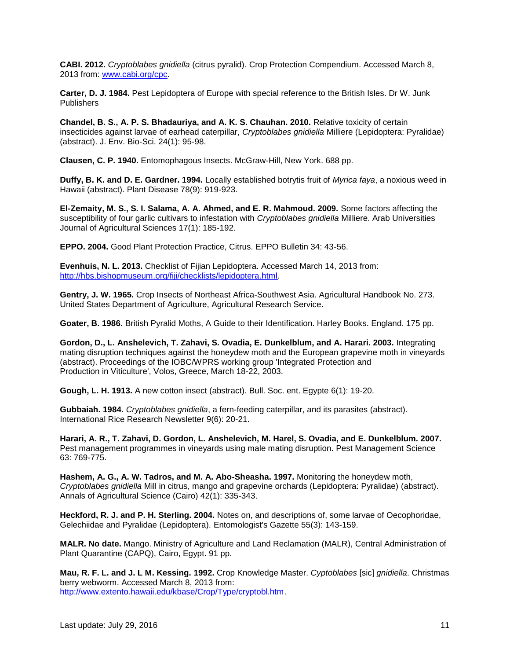**CABI. 2012.** *Cryptoblabes gnidiella* (citrus pyralid). Crop Protection Compendium. Accessed March 8, 2013 from: [www.cabi.org/cpc.](http://www.cabi.org/cpc)

**Carter, D. J. 1984.** Pest Lepidoptera of Europe with special reference to the British Isles. Dr W. Junk **Publishers** 

**Chandel, B. S., A. P. S. Bhadauriya, and A. K. S. Chauhan. 2010.** Relative toxicity of certain insecticides against larvae of earhead caterpillar, *Cryptoblabes gnidiella* Milliere (Lepidoptera: Pyralidae) (abstract). J. Env. Bio-Sci. 24(1): 95-98.

**Clausen, C. P. 1940.** Entomophagous Insects. McGraw-Hill, New York. 688 pp.

**Duffy, B. K. and D. E. Gardner. 1994.** Locally established botrytis fruit of *Myrica faya*, a noxious weed in Hawaii (abstract). Plant Disease 78(9): 919-923.

**El-Zemaity, M. S., S. I. Salama, A. A. Ahmed, and E. R. Mahmoud. 2009.** Some factors affecting the susceptibility of four garlic cultivars to infestation with *Cryptoblabes gnidiella* Milliere. Arab Universities Journal of Agricultural Sciences 17(1): 185-192.

**EPPO. 2004.** Good Plant Protection Practice, Citrus. EPPO Bulletin 34: 43-56.

**Evenhuis, N. L. 2013.** Checklist of Fijian Lepidoptera. Accessed March 14, 2013 from: [http://hbs.bishopmuseum.org/fiji/checklists/lepidoptera.html.](http://hbs.bishopmuseum.org/fiji/checklists/lepidoptera.html)

**Gentry, J. W. 1965.** Crop Insects of Northeast Africa-Southwest Asia. Agricultural Handbook No. 273. United States Department of Agriculture, Agricultural Research Service.

**Goater, B. 1986.** British Pyralid Moths, A Guide to their Identification. Harley Books. England. 175 pp.

**Gordon, D., L. Anshelevich, T. Zahavi, S. Ovadia, E. Dunkelblum, and A. Harari. 2003.** Integrating mating disruption techniques against the honeydew moth and the European grapevine moth in vineyards (abstract). Proceedings of the IOBC/WPRS working group 'Integrated Protection and Production in Viticulture', Volos, Greece, March 18-22, 2003.

**Gough, L. H. 1913.** A new cotton insect (abstract). Bull. Soc. ent. Egypte 6(1): 19-20.

**Gubbaiah. 1984.** *Cryptoblabes gnidiella*, a fern-feeding caterpillar, and its parasites (abstract). International Rice Research Newsletter 9(6): 20-21.

**Harari, A. R., T. Zahavi, D. Gordon, L. Anshelevich, M. Harel, S. Ovadia, and E. Dunkelblum. 2007.**  Pest management programmes in vineyards using male mating disruption. Pest Management Science 63: 769-775.

**Hashem, A. G., A. W. Tadros, and M. A. Abo-Sheasha. 1997.** Monitoring the honeydew moth, *Cryptoblabes gnidiella* Mill in citrus, mango and grapevine orchards (Lepidoptera: Pyralidae) (abstract). Annals of Agricultural Science (Cairo) 42(1): 335-343.

**Heckford, R. J. and P. H. Sterling. 2004.** Notes on, and descriptions of, some larvae of Oecophoridae, Gelechiidae and Pyralidae (Lepidoptera). Entomologist's Gazette 55(3): 143-159.

**MALR. No date.** Mango. Ministry of Agriculture and Land Reclamation (MALR), Central Administration of Plant Quarantine (CAPQ), Cairo, Egypt. 91 pp.

**Mau, R. F. L. and J. L M. Kessing. 1992.** Crop Knowledge Master. *Cyptoblabes* [sic] *gnidiella*. Christmas berry webworm. Accessed March 8, 2013 from: [http://www.extento.hawaii.edu/kbase/Crop/Type/cryptobl.htm.](http://www.extento.hawaii.edu/kbase/Crop/Type/cryptobl.htm)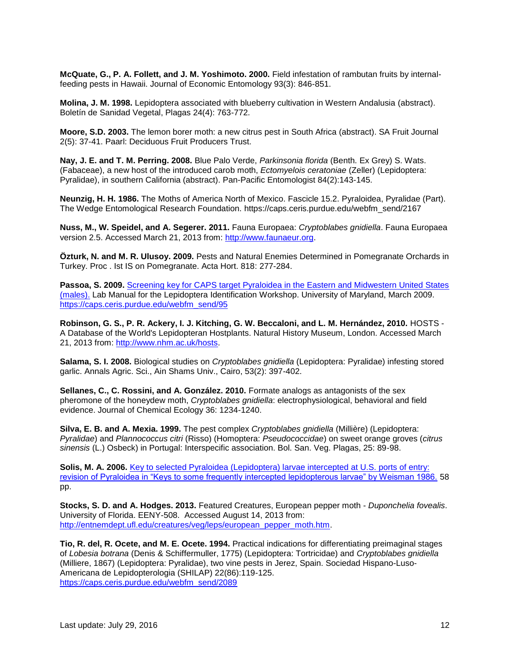**McQuate, G., P. A. Follett, and J. M. Yoshimoto. 2000.** Field infestation of rambutan fruits by internalfeeding pests in Hawaii. Journal of Economic Entomology 93(3): 846-851.

**Molina, J. M. 1998.** Lepidoptera associated with blueberry cultivation in Western Andalusia (abstract). Boletín de Sanidad Vegetal, Plagas 24(4): 763-772.

**Moore, S.D. 2003.** The lemon borer moth: a new citrus pest in South Africa (abstract). SA Fruit Journal 2(5): 37-41. Paarl: Deciduous Fruit Producers Trust.

**Nay, J. E. and T. M. Perring. 2008.** Blue Palo Verde, *Parkinsonia florida* (Benth. Ex Grey) S. Wats. (Fabaceae), a new host of the introduced carob moth, *Ectomyelois ceratoniae* (Zeller) (Lepidoptera: Pyralidae), in southern California (abstract). Pan-Pacific Entomologist 84(2):143-145.

**Neunzig, H. H. 1986.** The Moths of America North of Mexico. Fascicle 15.2. Pyraloidea, Pyralidae (Part). The Wedge Entomological Research Foundation. https://caps.ceris.purdue.edu/webfm\_send/2167

**Nuss, M., W. Speidel, and A. Segerer. 2011.** Fauna Europaea: *Cryptoblabes gnidiella*. Fauna Europaea version 2.5. Accessed March 21, 2013 from: [http://www.faunaeur.org.](http://www.faunaeur.org/)

**Özturk, N. and M. R. Ulusoy. 2009.** Pests and Natural Enemies Determined in Pomegranate Orchards in Turkey. Proc . Ist IS on Pomegranate. Acta Hort. 818: 277-284.

**Passoa, S. 2009.** [Screening key for CAPS target Pyraloidea in the Eastern and Midwestern United States](http://caps.ceris.purdue.edu/webfm_send/95)  [\(males\).](http://caps.ceris.purdue.edu/webfm_send/95) Lab Manual for the Lepidoptera Identification Workshop. University of Maryland, March 2009. [https://caps.ceris.purdue.edu/webfm\\_send/95](https://caps.ceris.purdue.edu/webfm_send/95)

**Robinson, G. S., P. R. Ackery, I. J. Kitching, G. W. Beccaloni, and L. M. Hernández, 2010.** HOSTS - A Database of the World's Lepidopteran Hostplants. Natural History Museum, London. Accessed March 21, 2013 from: [http://www.nhm.ac.uk/hosts.](http://www.nhm.ac.uk/hosts)

**Salama, S. I. 2008.** Biological studies on *Cryptoblabes gnidiella* (Lepidoptera: Pyralidae) infesting stored garlic. Annals Agric. Sci., Ain Shams Univ., Cairo, 53(2): 397-402.

**Sellanes, C., C. Rossini, and A. González. 2010.** Formate analogs as antagonists of the sex pheromone of the honeydew moth, *Cryptoblabes gnidiella*: electrophysiological, behavioral and field evidence. Journal of Chemical Ecology 36: 1234-1240.

**Silva, E. B. and A. Mexia. 1999.** The pest complex *Cryptoblabes gnidiella* (Millière) (Lepidoptera: *Pyralidae*) and *Plannococcus citri* (Risso) (Homoptera: *Pseudococcidae*) on sweet orange groves (*citrus sinensis* (L.) Osbeck) in Portugal: Interspecific association. Bol. San. Veg. Plagas, 25: 89-98.

**Solis, M. A. 2006.** [Key to selected Pyraloidea \(Lepidoptera\) larvae intercepted at U.S. ports of entry:](http://caps.ceris.purdue.edu/webfm_send/2087)  [revision of Pyraloidea in "Keys to some frequently intercepted lepidopterous larvae" by Weisman 1986.](http://caps.ceris.purdue.edu/webfm_send/2087) 58 pp.

**Stocks, S. D. and A. Hodges. 2013.** Featured Creatures, European pepper moth - *Duponchelia fovealis*. University of Florida. EENY-508. Accessed August 14, 2013 from: [http://entnemdept.ufl.edu/creatures/veg/leps/european\\_pepper\\_moth.htm.](http://entnemdept.ufl.edu/creatures/veg/leps/european_pepper_moth.htm)

**Tio, R. del, R. Ocete, and M. E. Ocete. 1994.** Practical indications for differentiating preimaginal stages of *Lobesia botrana* (Denis & Schiffermuller, 1775) (Lepidoptera: Tortricidae) and *Cryptoblabes gnidiella* (Milliere, 1867) (Lepidoptera: Pyralidae), two vine pests in Jerez, Spain. Sociedad Hispano-Luso-Americana de Lepidopterologia (SHILAP) 22(86):119-125. [https://caps.ceris.purdue.edu/webfm\\_send/2089](https://caps.ceris.purdue.edu/webfm_send/2089)